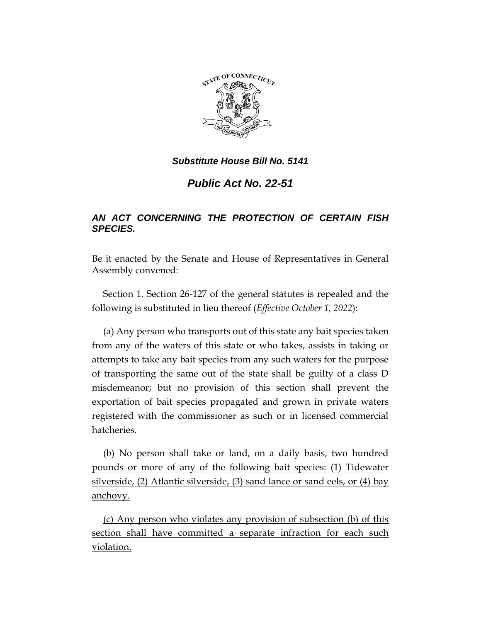

# *Public Act No. 22-51*

## *AN ACT CONCERNING THE PROTECTION OF CERTAIN FISH SPECIES.*

Be it enacted by the Senate and House of Representatives in General Assembly convened:

Section 1. Section 26-127 of the general statutes is repealed and the following is substituted in lieu thereof (*Effective October 1, 2022*):

(a) Any person who transports out of this state any bait species taken from any of the waters of this state or who takes, assists in taking or attempts to take any bait species from any such waters for the purpose of transporting the same out of the state shall be guilty of a class D misdemeanor; but no provision of this section shall prevent the exportation of bait species propagated and grown in private waters registered with the commissioner as such or in licensed commercial hatcheries.

(b) No person shall take or land, on a daily basis, two hundred pounds or more of any of the following bait species: (1) Tidewater silverside, (2) Atlantic silverside, (3) sand lance or sand eels, or (4) bay anchovy.

(c) Any person who violates any provision of subsection (b) of this section shall have committed a separate infraction for each such violation.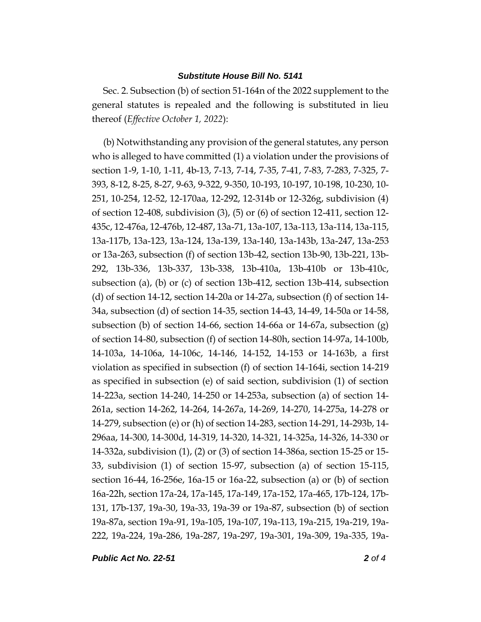Sec. 2. Subsection (b) of section 51-164n of the 2022 supplement to the general statutes is repealed and the following is substituted in lieu thereof (*Effective October 1, 2022*):

(b) Notwithstanding any provision of the general statutes, any person who is alleged to have committed (1) a violation under the provisions of section 1-9, 1-10, 1-11, 4b-13, 7-13, 7-14, 7-35, 7-41, 7-83, 7-283, 7-325, 7- 393, 8-12, 8-25, 8-27, 9-63, 9-322, 9-350, 10-193, 10-197, 10-198, 10-230, 10- 251, 10-254, 12-52, 12-170aa, 12-292, 12-314b or 12-326g, subdivision (4) of section 12-408, subdivision (3), (5) or (6) of section 12-411, section 12- 435c, 12-476a, 12-476b, 12-487, 13a-71, 13a-107, 13a-113, 13a-114, 13a-115, 13a-117b, 13a-123, 13a-124, 13a-139, 13a-140, 13a-143b, 13a-247, 13a-253 or 13a-263, subsection (f) of section 13b-42, section 13b-90, 13b-221, 13b-292, 13b-336, 13b-337, 13b-338, 13b-410a, 13b-410b or 13b-410c, subsection (a), (b) or (c) of section 13b-412, section 13b-414, subsection (d) of section 14-12, section 14-20a or 14-27a, subsection (f) of section 14- 34a, subsection (d) of section 14-35, section 14-43, 14-49, 14-50a or 14-58, subsection (b) of section 14-66, section 14-66a or 14-67a, subsection (g) of section 14-80, subsection (f) of section 14-80h, section 14-97a, 14-100b, 14-103a, 14-106a, 14-106c, 14-146, 14-152, 14-153 or 14-163b, a first violation as specified in subsection (f) of section 14-164i, section 14-219 as specified in subsection (e) of said section, subdivision (1) of section 14-223a, section 14-240, 14-250 or 14-253a, subsection (a) of section 14- 261a, section 14-262, 14-264, 14-267a, 14-269, 14-270, 14-275a, 14-278 or 14-279, subsection (e) or (h) of section 14-283, section 14-291, 14-293b, 14- 296aa, 14-300, 14-300d, 14-319, 14-320, 14-321, 14-325a, 14-326, 14-330 or 14-332a, subdivision (1), (2) or (3) of section 14-386a, section 15-25 or 15- 33, subdivision (1) of section 15-97, subsection (a) of section 15-115, section 16-44, 16-256e, 16a-15 or 16a-22, subsection (a) or (b) of section 16a-22h, section 17a-24, 17a-145, 17a-149, 17a-152, 17a-465, 17b-124, 17b-131, 17b-137, 19a-30, 19a-33, 19a-39 or 19a-87, subsection (b) of section 19a-87a, section 19a-91, 19a-105, 19a-107, 19a-113, 19a-215, 19a-219, 19a-222, 19a-224, 19a-286, 19a-287, 19a-297, 19a-301, 19a-309, 19a-335, 19a-

*Public Act No. 22-51 2 of 4*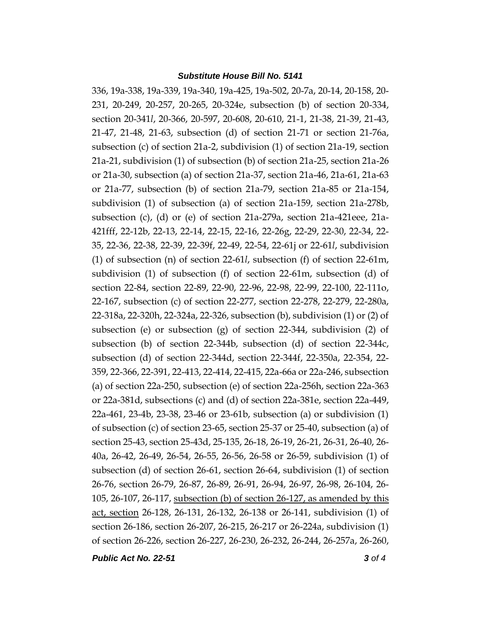336, 19a-338, 19a-339, 19a-340, 19a-425, 19a-502, 20-7a, 20-14, 20-158, 20- 231, 20-249, 20-257, 20-265, 20-324e, subsection (b) of section 20-334, section 20-341*l*, 20-366, 20-597, 20-608, 20-610, 21-1, 21-38, 21-39, 21-43, 21-47, 21-48, 21-63, subsection (d) of section 21-71 or section 21-76a, subsection (c) of section 21a-2, subdivision (1) of section 21a-19, section 21a-21, subdivision (1) of subsection (b) of section 21a-25, section 21a-26 or 21a-30, subsection (a) of section 21a-37, section 21a-46, 21a-61, 21a-63 or 21a-77, subsection (b) of section 21a-79, section 21a-85 or 21a-154, subdivision (1) of subsection (a) of section 21a-159, section 21a-278b, subsection (c), (d) or (e) of section 21a-279a, section 21a-421eee, 21a-421fff, 22-12b, 22-13, 22-14, 22-15, 22-16, 22-26g, 22-29, 22-30, 22-34, 22- 35, 22-36, 22-38, 22-39, 22-39f, 22-49, 22-54, 22-61j or 22-61*l*, subdivision (1) of subsection (n) of section 22-61*l*, subsection (f) of section 22-61m, subdivision (1) of subsection (f) of section 22-61m, subsection (d) of section 22-84, section 22-89, 22-90, 22-96, 22-98, 22-99, 22-100, 22-111o, 22-167, subsection (c) of section 22-277, section 22-278, 22-279, 22-280a, 22-318a, 22-320h, 22-324a, 22-326, subsection (b), subdivision (1) or (2) of subsection (e) or subsection (g) of section 22-344, subdivision (2) of subsection (b) of section 22-344b, subsection (d) of section 22-344c, subsection (d) of section 22-344d, section 22-344f, 22-350a, 22-354, 22- 359, 22-366, 22-391, 22-413, 22-414, 22-415, 22a-66a or 22a-246, subsection (a) of section 22a-250, subsection (e) of section 22a-256h, section 22a-363 or 22a-381d, subsections (c) and (d) of section 22a-381e, section 22a-449, 22a-461, 23-4b, 23-38, 23-46 or 23-61b, subsection (a) or subdivision (1) of subsection (c) of section 23-65, section 25-37 or 25-40, subsection (a) of section 25-43, section 25-43d, 25-135, 26-18, 26-19, 26-21, 26-31, 26-40, 26- 40a, 26-42, 26-49, 26-54, 26-55, 26-56, 26-58 or 26-59, subdivision (1) of subsection (d) of section 26-61, section 26-64, subdivision (1) of section 26-76, section 26-79, 26-87, 26-89, 26-91, 26-94, 26-97, 26-98, 26-104, 26- 105, 26-107, 26-117, subsection (b) of section 26-127, as amended by this act, section 26-128, 26-131, 26-132, 26-138 or 26-141, subdivision (1) of section 26-186, section 26-207, 26-215, 26-217 or 26-224a, subdivision (1) of section 26-226, section 26-227, 26-230, 26-232, 26-244, 26-257a, 26-260,

*Public Act No. 22-51 3 of 4*